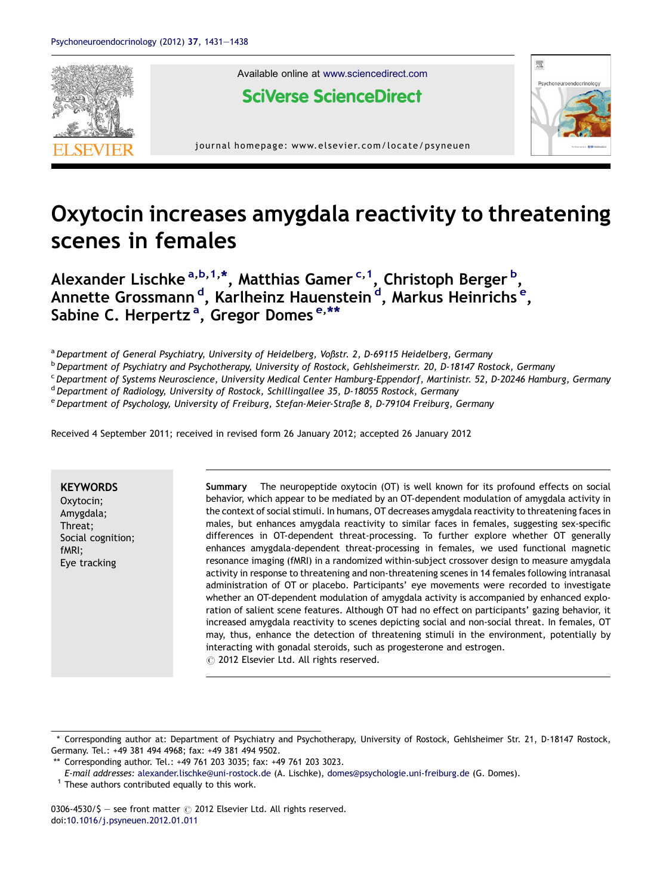

Available online at [www.sciencedirect.com](http://www.sciencedirect.com/science/journal/03064530)

**SciVerse ScienceDirect** 



journal homepage: www.elsevier.com/locate/psyneuen

# Oxytocin increases amygdala reactivity to threatening scenes in females

Alexander Lischke <sup>a,b,1,\*</sup>, Matthias Gamer <sup>c,1</sup>, Christoph Berger <sup>b</sup>, Annette Grossmann <sup>d</sup>, Karlheinz Hauenstein <sup>d</sup>, Markus Heinrichs <sup>e</sup>, Sabine C. Herpertz<sup>a</sup>, Gregor Domes<sup>e,\*\*</sup>

a Department of General Psychiatry, University of Heidelberg, Voßstr. 2, D-69115 Heidelberg, Germany

<sup>b</sup> Department of Psychiatry and Psychotherapy, University of Rostock, Gehlsheimerstr. 20, D-18147 Rostock, Germany

<sup>c</sup> Department of Systems Neuroscience, University Medical Center Hamburg-Eppendorf, Martinistr. 52, D-20246 Hamburg, Germany

<sup>d</sup> Department of Radiology, University of Rostock, Schillingallee 35, D-18055 Rostock, Germany

<sup>e</sup> Department of Psychology, University of Freiburg, Stefan-Meier-Straße 8, D-79104 Freiburg, Germany

Received 4 September 2011; received in revised form 26 January 2012; accepted 26 January 2012

**KFYWORDS** Oxytocin; Amygdala; Threat; Social cognition; fMRI; Eye tracking

Summary The neuropeptide oxytocin (OT) is well known for its profound effects on social behavior, which appear to be mediated by an OT-dependent modulation of amygdala activity in the context of social stimuli. In humans, OT decreases amygdala reactivity to threatening faces in males, but enhances amygdala reactivity to similar faces in females, suggesting sex-specific differences in OT-dependent threat-processing. To further explore whether OT generally enhances amygdala-dependent threat-processing in females, we used functional magnetic resonance imaging (fMRI) in a randomized within-subject crossover design to measure amygdala activity in response to threatening and non-threatening scenes in 14 females following intranasal administration of OT or placebo. Participants' eye movements were recorded to investigate whether an OT-dependent modulation of amygdala activity is accompanied by enhanced exploration of salient scene features. Although OT had no effect on participants' gazing behavior, it increased amygdala reactivity to scenes depicting social and non-social threat. In females, OT may, thus, enhance the detection of threatening stimuli in the environment, potentially by interacting with gonadal steroids, such as progesterone and estrogen.  $\odot$  2012 Elsevier Ltd. All rights reserved.

0306-4530/\$ - see front matter  $\odot$  2012 Elsevier Ltd. All rights reserved. doi[:10.1016/j.psyneuen.2012.01.011](http://dx.doi.org/10.1016/j.psyneuen.2012.01.011)

<sup>\*</sup> Corresponding author at: Department of Psychiatry and Psychotherapy, University of Rostock, Gehlsheimer Str. 21, D-18147 Rostock, Germany. Tel.: +49 381 494 4968; fax: +49 381 494 9502.

<sup>\*\*</sup> Corresponding author. Tel.: +49 761 203 3035; fax: +49 761 203 3023.

E-mail addresses: [alexander.lischke@uni-rostock.de](mailto:alexander.lischke@uni-rostock.de) (A. Lischke), [domes@psychologie.uni-freiburg.de](mailto:domes@psychologie.uni-freiburg.de) (G. Domes).

 $1$  These authors contributed equally to this work.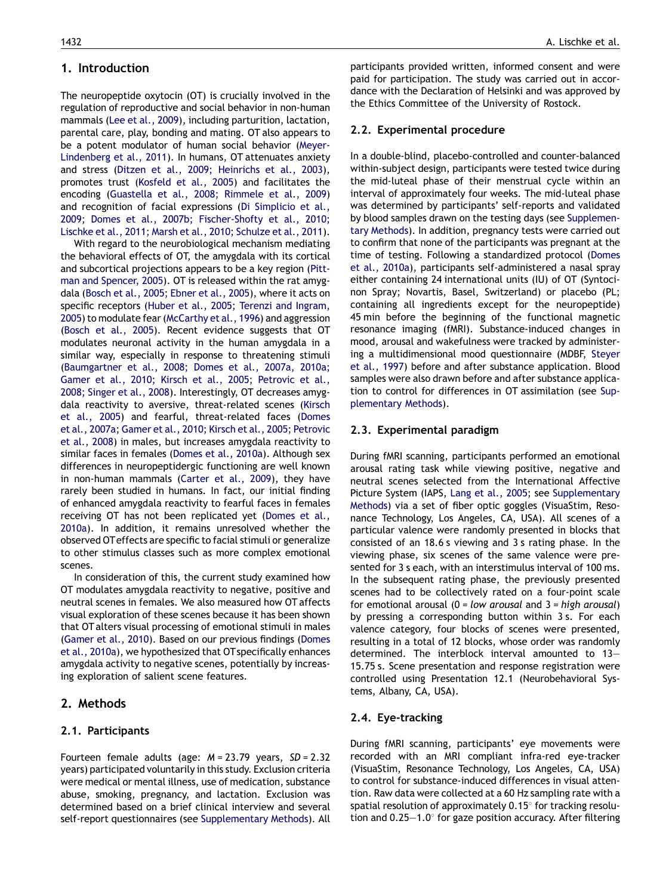# 1. Introduction

The neuropeptide oxytocin (OT) is crucially involved in the regulation of reproductive and social behavior in non-human mammals (Lee et al., [2009](#page-6-0)), including parturition, lactation, parental care, play, bonding and mating. OT also appears to be a potent modulator of human social behavior ([Meyer-](#page-6-0)[Lindenberg](#page-6-0) et al., 2011). In humans, OT attenuates anxiety and stress (Ditzen et al., 2009; [Heinrichs](#page-6-0) et al., 2003), promotes trust ([Kosfeld](#page-6-0) et al., 2005) and facilitates the encoding ([Guastella](#page-6-0) et al., 2008; Rimmele et al., 2009) and recognition of facial expressions (Di [Simplicio](#page-6-0) et al., 2009; Domes et al., 2007b; [Fischer-Shofty](#page-6-0) et al., 2010; Lischke et al., 2011; Marsh et al., 2010; [Schulze](#page-6-0) et al., 2011).

With regard to the neurobiological mechanism mediating the behavioral effects of OT, the amygdala with its cortical and subcortical projections appears to be a key region [\(Pitt](#page-6-0)man and [Spencer,](#page-6-0) 2005). OT is released within the rat amygdala (Bosch et al., 2005; [Ebner](#page-6-0) et al., 2005), where it acts on specific receptors (Huber et al., 2005; Terenzi and [Ingram,](#page-6-0) [2005](#page-6-0)) to modulate fear ([McCarthy](#page-6-0) et al., 1996) and aggression [\(Bosch](#page-6-0) et al., 2005). Recent evidence suggests that OT modulates neuronal activity in the human amygdala in a similar way, especially in response to threatening stimuli [\(Baumgartner](#page-6-0) et al., 2008; Domes et al., 2007a, 2010a; Gamer et al., 2010; Kirsch et al., 2005; [Petrovic](#page-6-0) et al., 2008; [Singer](#page-6-0) et al., 2008). Interestingly, OT decreases amygdala reactivity to aversive, threat-related scenes [\(Kirsch](#page-6-0) et al., [2005\)](#page-6-0) and fearful, threat-related faces ([Domes](#page-6-0) et al., 2007a; Gamer et al., 2010; Kirsch et al., 2005; [Petrovic](#page-6-0) et al., [2008\)](#page-6-0) in males, but increases amygdala reactivity to similar faces in females ([Domes](#page-6-0) et al., 2010a). Although sex differences in neuropeptidergic functioning are well known in non-human mammals [\(Carter](#page-6-0) et al., 2009), they have rarely been studied in humans. In fact, our initial finding of enhanced amygdala reactivity to fearful faces in females receiving OT has not been replicated yet ([Domes](#page-6-0) et al., [2010a](#page-6-0)). In addition, it remains unresolved whether the observed OTeffects are specific to facial stimuli or generalize to other stimulus classes such as more complex emotional scenes.

In consideration of this, the current study examined how OT modulates amygdala reactivity to negative, positive and neutral scenes in females. We also measured how OT affects visual exploration of these scenes because it has been shown that OTalters visual processing of emotional stimuli in males [\(Gamer](#page-6-0) et al., 2010). Based on our previous findings ([Domes](#page-6-0) et al., [2010a](#page-6-0)), we hypothesized that OT specifically enhances amygdala activity to negative scenes, potentially by increasing exploration of salient scene features.

# 2. Methods

# 2.1. Participants

Fourteen female adults (age:  $M = 23.79$  years,  $SD = 2.32$ years) participated voluntarily in thisstudy. Exclusion criteria were medical or mental illness, use of medication, substance abuse, smoking, pregnancy, and lactation. Exclusion was determined based on a brief clinical interview and several self-report questionnaires (see Supplementary Methods). All

participants provided written, informed consent and were paid for participation. The study was carried out in accordance with the Declaration of Helsinki and was approved by the Ethics Committee of the University of Rostock.

## 2.2. Experimental procedure

In a double-blind, placebo-controlled and counter-balanced within-subject design, participants were tested twice during the mid-luteal phase of their menstrual cycle within an interval of approximately four weeks. The mid-luteal phase was determined by participants' self-reports and validated by blood samples drawn on the testing days (see Supplementary Methods). In addition, pregnancy tests were carried out to confirm that none of the participants was pregnant at the time of testing. Following a standardized protocol ([Domes](#page-6-0) et al., [2010a](#page-6-0)), participants self-administered a nasal spray either containing 24 international units (IU) of OT (Syntocinon Spray; Novartis, Basel, Switzerland) or placebo (PL; containing all ingredients except for the neuropeptide) 45 min before the beginning of the functional magnetic resonance imaging (fMRI). Substance-induced changes in mood, arousal and wakefulness were tracked by administering a multidimensional mood questionnaire (MDBF, [Steyer](#page-7-0) et al., [1997](#page-7-0)) before and after substance application. Blood samples were also drawn before and after substance application to control for differences in OT assimilation (see Supplementary Methods).

## 2.3. Experimental paradigm

During fMRI scanning, participants performed an emotional arousal rating task while viewing positive, negative and neutral scenes selected from the International Affective Picture System (IAPS, Lang et al., [2005;](#page-6-0) see Supplementary Methods) via a set of fiber optic goggles (VisuaStim, Resonance Technology, Los Angeles, CA, USA). All scenes of a particular valence were randomly presented in blocks that consisted of an 18.6 s viewing and 3 s rating phase. In the viewing phase, six scenes of the same valence were presented for 3 s each, with an interstimulus interval of 100 ms. In the subsequent rating phase, the previously presented scenes had to be collectively rated on a four-point scale for emotional arousal  $(0 = low \text{ arousal}$  and  $3 = high \text{ arousal})$ by pressing a corresponding button within 3 s. For each valence category, four blocks of scenes were presented, resulting in a total of 12 blocks, whose order was randomly determined. The interblock interval amounted to 13— 15.75 s. Scene presentation and response registration were controlled using Presentation 12.1 (Neurobehavioral Systems, Albany, CA, USA).

## 2.4. Eye-tracking

During fMRI scanning, participants' eye movements were recorded with an MRI compliant infra-red eye-tracker (VisuaStim, Resonance Technology, Los Angeles, CA, USA) to control for substance-induced differences in visual attention. Raw data were collected at a 60 Hz sampling rate with a spatial resolution of approximately  $0.15^{\circ}$  for tracking resolution and  $0.25-1.0^{\circ}$  for gaze position accuracy. After filtering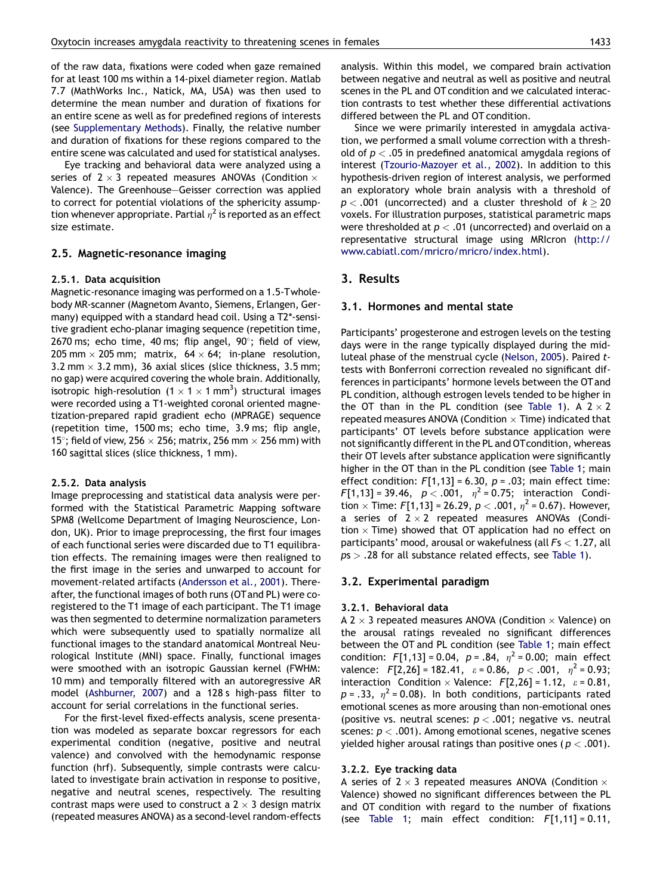of the raw data, fixations were coded when gaze remained for at least 100 ms within a 14-pixel diameter region. Matlab 7.7 (MathWorks Inc., Natick, MA, USA) was then used to determine the mean number and duration of fixations for an entire scene as well as for predefined regions of interests (see Supplementary Methods). Finally, the relative number and duration of fixations for these regions compared to the entire scene was calculated and used for statistical analyses.

Eye tracking and behavioral data were analyzed using a series of 2  $\times$  3 repeated measures ANOVAs (Condition  $\times$ Valence). The Greenhouse—Geisser correction was applied to correct for potential violations of the sphericity assumption whenever appropriate. Partial  $n^2$  is reported as an effect size estimate.

#### 2.5. Magnetic-resonance imaging

#### 2.5.1. Data acquisition

Magnetic-resonance imaging was performed on a 1.5-Twholebody MR-scanner (Magnetom Avanto, Siemens, Erlangen, Germany) equipped with a standard head coil. Using a T2\*-sensitive gradient echo-planar imaging sequence (repetition time, 2670 ms; echo time, 40 ms; flip angel,  $90^\circ$ ; field of view, 205 mm  $\times$  205 mm; matrix, 64  $\times$  64; in-plane resolution, 3.2 mm  $\times$  3.2 mm), 36 axial slices (slice thickness, 3.5 mm; no gap) were acquired covering the whole brain. Additionally, isotropic high-resolution (1  $\times$  1  $\times$  1 mm<sup>3</sup>) structural images were recorded using a T1-weighted coronal oriented magnetization-prepared rapid gradient echo (MPRAGE) sequence (repetition time, 1500 ms; echo time, 3.9 ms; flip angle, 15 $^{\circ}$ ; field of view, 256  $\times$  256; matrix, 256 mm  $\times$  256 mm) with 160 sagittal slices (slice thickness, 1 mm).

#### 2.5.2. Data analysis

Image preprocessing and statistical data analysis were performed with the Statistical Parametric Mapping software SPM8 (Wellcome Department of Imaging Neuroscience, London, UK). Prior to image preprocessing, the first four images of each functional series were discarded due to T1 equilibration effects. The remaining images were then realigned to the first image in the series and unwarped to account for movement-related artifacts [\(Andersson](#page-6-0) et al., 2001). Thereafter, the functional images of both runs (OTand PL) were coregistered to the T1 image of each participant. The T1 image was then segmented to determine normalization parameters which were subsequently used to spatially normalize all functional images to the standard anatomical Montreal Neurological Institute (MNI) space. Finally, functional images were smoothed with an isotropic Gaussian kernel (FWHM: 10 mm) and temporally filtered with an autoregressive AR model ([Ashburner,](#page-6-0) 2007) and a 128 s high-pass filter to account for serial correlations in the functional series.

For the first-level fixed-effects analysis, scene presentation was modeled as separate boxcar regressors for each experimental condition (negative, positive and neutral valence) and convolved with the hemodynamic response function (hrf). Subsequently, simple contrasts were calculated to investigate brain activation in response to positive, negative and neutral scenes, respectively. The resulting contrast maps were used to construct a 2  $\times$  3 design matrix (repeated measures ANOVA) as a second-level random-effects analysis. Within this model, we compared brain activation between negative and neutral as well as positive and neutral scenes in the PL and OT condition and we calculated interaction contrasts to test whether these differential activations differed between the PL and OT condition.

Since we were primarily interested in amygdala activation, we performed a small volume correction with a threshold of  $p < 0.05$  in predefined anatomical amygdala regions of interest [\(Tzourio-Mazoyer](#page-7-0) et al., 2002). In addition to this hypothesis-driven region of interest analysis, we performed an exploratory whole brain analysis with a threshold of  $p < .001$  (uncorrected) and a cluster threshold of  $k > 20$ voxels. For illustration purposes, statistical parametric maps were thresholded at  $p < .01$  (uncorrected) and overlaid on a representative structural image using MRIcron ([http://](http://www.cabiatl.com/mricro/mricro/index.html) [www.cabiatl.com/mricro/mricro/index.html](http://www.cabiatl.com/mricro/mricro/index.html)).

#### 3. Results

## 3.1. Hormones and mental state

Participants' progesterone and estrogen levels on the testing days were in the range typically displayed during the midluteal phase of the menstrual cycle ([Nelson,](#page-6-0) 2005). Paired ttests with Bonferroni correction revealed no significant differences in participants' hormone levels between the OT and PL condition, although estrogen levels tended to be higher in the OT than in the PL condition (see [Table](#page-3-0) 1). A  $2 \times 2$ repeated measures ANOVA (Condition  $\times$  Time) indicated that participants' OT levels before substance application were not significantly different in the PL and OT condition, whereas their OT levels after substance application were significantly higher in the OT than in the PL condition (see [Table](#page-3-0) 1; main effect condition:  $F[1,13] = 6.30$ ,  $p = .03$ ; main effect time:  $F[1,13] = 39.46$ ,  $p < .001$ ,  $\eta^2 = 0.75$ ; interaction Condition  $\times$  Time: F[1,13] = 26.29,  $p < .001$ ,  $\eta^2$  = 0.67). However, a series of  $2 \times 2$  repeated measures ANOVAs (Condition  $\times$  Time) showed that OT application had no effect on participants' mood, arousal or wakefulness (all  $Fs < 1.27$ , all  $ps > .28$  for all substance related effects, see [Table](#page-3-0) 1).

## 3.2. Experimental paradigm

#### 3.2.1. Behavioral data

A 2  $\times$  3 repeated measures ANOVA (Condition  $\times$  Valence) on the arousal ratings revealed no significant differences between the OT and PL condition (see [Table](#page-3-0) 1; main effect condition:  $F[1,13] = 0.04$ ,  $p = .84$ ,  $\eta^2 = 0.00$ ; main effect valence:  $F[2,26] = 182.41$ ,  $\varepsilon = 0.86$ ,  $p < .001$ ,  $\eta^2 = 0.93$ ; interaction Condition  $\times$  Valence:  $F[2,26] = 1.12$ ,  $\varepsilon = 0.81$ ,  $p = .33$ ,  $\eta^2 = 0.08$ ). In both conditions, participants rated emotional scenes as more arousing than non-emotional ones (positive vs. neutral scenes:  $p < .001$ ; negative vs. neutral scenes:  $p < .001$ ). Among emotional scenes, negative scenes yielded higher arousal ratings than positive ones ( $p < .001$ ).

#### 3.2.2. Eye tracking data

A series of 2  $\times$  3 repeated measures ANOVA (Condition  $\times$ Valence) showed no significant differences between the PL and OT condition with regard to the number of fixations (see [Table](#page-3-0) 1; main effect condition:  $F[1,11] = 0.11$ ,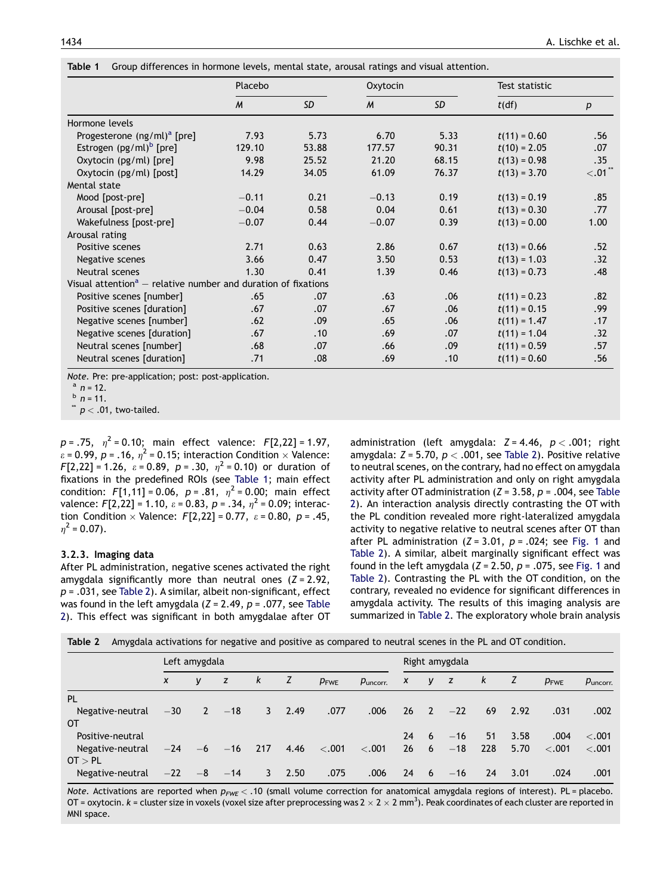|                                                                           | Placebo |           | Oxytocin         |       | Test statistic |                  |  |
|---------------------------------------------------------------------------|---------|-----------|------------------|-------|----------------|------------------|--|
|                                                                           | M       | <b>SD</b> | $\boldsymbol{M}$ | SD    | t(df)          | $\boldsymbol{p}$ |  |
| Hormone levels                                                            |         |           |                  |       |                |                  |  |
| Progesterone $(ng/ml)^a$ [pre]                                            | 7.93    | 5.73      | 6.70             | 5.33  | $t(11) = 0.60$ | .56              |  |
| Estrogen (pg/ml) <sup>b</sup> [pre]                                       | 129.10  | 53.88     | 177.57           | 90.31 | $t(10) = 2.05$ | .07              |  |
| Oxytocin (pg/ml) [pre]                                                    | 9.98    | 25.52     | 21.20            | 68.15 | $t(13) = 0.98$ | .35              |  |
| Oxytocin (pg/ml) [post]                                                   | 14.29   | 34.05     | 61.09            | 76.37 | $t(13) = 3.70$ | $< 01$ $\cdot$   |  |
| Mental state                                                              |         |           |                  |       |                |                  |  |
| Mood [post-pre]                                                           | $-0.11$ | 0.21      | $-0.13$          | 0.19  | $t(13) = 0.19$ | .85              |  |
| Arousal [post-pre]                                                        | $-0.04$ | 0.58      | 0.04             | 0.61  | $t(13) = 0.30$ | .77              |  |
| Wakefulness [post-pre]                                                    | $-0.07$ | 0.44      | $-0.07$          | 0.39  | $t(13) = 0.00$ | 1.00             |  |
| Arousal rating                                                            |         |           |                  |       |                |                  |  |
| Positive scenes                                                           | 2.71    | 0.63      | 2.86             | 0.67  | $t(13) = 0.66$ | .52              |  |
| Negative scenes                                                           | 3.66    | 0.47      | 3.50             | 0.53  | $t(13) = 1.03$ | .32              |  |
| Neutral scenes                                                            | 1.30    | 0.41      | 1.39             | 0.46  | $t(13) = 0.73$ | .48              |  |
| Visual attention <sup>a</sup> – relative number and duration of fixations |         |           |                  |       |                |                  |  |
| Positive scenes [number]                                                  | .65     | .07       | .63              | .06   | $t(11) = 0.23$ | .82              |  |
| Positive scenes [duration]                                                | .67     | .07       | .67              | .06   | $t(11) = 0.15$ | .99              |  |
| Negative scenes [number]                                                  | .62     | .09       | .65              | .06   | $t(11) = 1.47$ | .17              |  |
| Negative scenes [duration]                                                | .67     | .10       | .69              | .07   | $t(11) = 1.04$ | .32              |  |
| Neutral scenes [number]                                                   | .68     | .07       | .66              | .09   | $t(11) = 0.59$ | .57              |  |
| Neutral scenes [duration]                                                 | .71     | .08       | .69              | .10   | $t(11) = 0.60$ | .56              |  |

<span id="page-3-0"></span>Table 1 Group differences in hormone levels, mental state, arousal ratings and visual attention.

Note. Pre: pre-application; post: post-application.<br>  $\binom{a}{n}$  n = 12.<br>  $\binom{b}{n}$  n = 11.

 $p < .01$ , two-tailed.

 $p = .75$ ,  $\eta^2 = 0.10$ ; main effect valence:  $F[2,22] = 1.97$ ,  $\epsilon$  = 0.99,  $p$  = .16,  $\eta^2$  = 0.15; interaction Condition  $\times$  Valence:  $F[2,22] = 1.26$ ,  $\varepsilon = 0.89$ ,  $p = .30$ ,  $\eta^2 = 0.10$ ) or duration of fixations in the predefined ROIs (see Table 1; main effect condition:  $F[1,11] = 0.06$ ,  $p = .81$ ,  $n^2 = 0.00$ ; main effect valence:  $F[2,22] = 1.10$ ,  $\varepsilon = 0.83$ ,  $p = .34$ ,  $\eta^2 = 0.09$ ; interaction Condition  $\times$  Valence:  $F[2,22] = 0.77$ ,  $\varepsilon = 0.80$ ,  $p = .45$ ,  $n^2$  = 0.07).

#### 3.2.3. Imaging data

After PL administration, negative scenes activated the right amygdala significantly more than neutral ones  $(Z = 2.92)$ ,  $p = .031$ , see Table 2). A similar, albeit non-significant, effect was found in the left amygdala  $(Z = 2.49, p = .077,$  see Table 2). This effect was significant in both amygdalae after OT administration (left amygdala:  $Z = 4.46$ ,  $p < .001$ ; right amygdala:  $Z = 5.70$ ,  $p < .001$ , see Table 2). Positive relative to neutral scenes, on the contrary, had no effect on amygdala activity after PL administration and only on right amygdala activity after OT administration ( $Z = 3.58$ ,  $p = .004$ , see Table 2). An interaction analysis directly contrasting the OT with the PL condition revealed more right-lateralized amygdala activity to negative relative to neutral scenes after OT than after PL administration  $(Z = 3.01, p = .024$ ; see [Fig.](#page-4-0) 1 and Table 2). A similar, albeit marginally significant effect was found in the left amygdala ( $Z = 2.50$ ,  $p = .075$ , see [Fig.](#page-4-0) 1 and Table 2). Contrasting the PL with the OT condition, on the contrary, revealed no evidence for significant differences in amygdala activity. The results of this imaging analysis are summarized in Table 2. The exploratory whole brain analysis

|  |  |  |  |  | Table 2 Amygdala activations for negative and positive as compared to neutral scenes in the PL and OT condition. |  |
|--|--|--|--|--|------------------------------------------------------------------------------------------------------------------|--|
|--|--|--|--|--|------------------------------------------------------------------------------------------------------------------|--|

|                  | Left amygdala    |              |                |                |      |                  |                      | Right amygdala   |      |       |              |      |                  |                      |
|------------------|------------------|--------------|----------------|----------------|------|------------------|----------------------|------------------|------|-------|--------------|------|------------------|----------------------|
|                  | $\boldsymbol{x}$ | v            | Z              | k              | Z    | $p_{\text{FWE}}$ | $p_{\text{uncorr.}}$ | $\boldsymbol{X}$ | y z  |       | $\mathbf{k}$ | Z    | $p_{\text{FWE}}$ | $p_{\text{uncorr.}}$ |
| PL               |                  |              |                |                |      |                  |                      |                  |      |       |              |      |                  |                      |
| Negative-neutral | $-30$            | $\mathbf{2}$ | $-18$          | 3 <sup>7</sup> | 2.49 | .077             | .006                 | 26               | $-2$ | $-22$ | 69           | 2.92 | .031             | .002                 |
| OТ               |                  |              |                |                |      |                  |                      |                  |      |       |              |      |                  |                      |
| Positive-neutral |                  |              |                |                |      |                  |                      | 24               | $-6$ | $-16$ | 51           | 3.58 | .004             | < 0.001              |
| Negative-neutral | $-24$            |              | $-6$ $-16$ 217 |                | 4.46 | $\langle .001$   | < .001               | $26 \t 6$        |      | $-18$ | 228          | 5.70 | < 0.001          | < .001               |
| OT > PL          |                  |              |                |                |      |                  |                      |                  |      |       |              |      |                  |                      |
| Negative-neutral | $-22$            |              | $-8$ $-14$     | 3              | 2.50 | .075             | .006                 | 24               | 6    | $-16$ | 24           | 3.01 | .024             | .001                 |

Note. Activations are reported when  $p_{FWE}$  < .10 (small volume correction for anatomical amygdala regions of interest). PL = placebo. OT = oxytocin.  $k$  = cluster size in voxels (voxel size after preprocessing was 2  $\times$  2  $\times$  2 mm<sup>3</sup>). Peak coordinates of each cluster are reported in MNI space.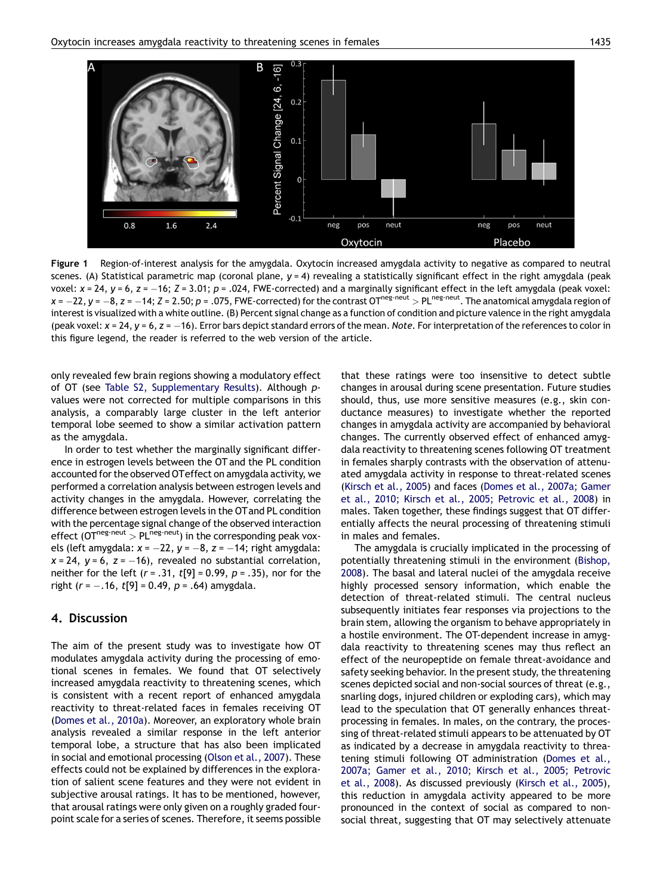<span id="page-4-0"></span>

Figure 1 Region-of-interest analysis for the amygdala. Oxytocin increased amygdala activity to negative as compared to neutral scenes. (A) Statistical parametric map (coronal plane,  $y = 4$ ) revealing a statistically significant effect in the right amygdala (peak voxel:  $x = 24$ ,  $y = 6$ ,  $z = -16$ ;  $Z = 3.01$ ;  $p = .024$ , FWE-corrected) and a marginally significant effect in the left amygdala (peak voxel:  $x = -22$ ,  $y = -8$ ,  $z = -14$ ;  $z = 2.50$ ;  $p = .075$ , FWE-corrected) for the contrast OT<sup>neg-neut</sup> > PL<sup>neg-neut</sup>. The anatomical amygdala region of interestis visualized with a white outline. (B) Percent signal change as a function of condition and picture valence in the right amygdala (peak voxel:  $x = 24$ ,  $y = 6$ ,  $z = -16$ ). Error bars depict standard errors of the mean. Note. For interpretation of the references to color in this figure legend, the reader is referred to the web version of the article.

only revealed few brain regions showing a modulatory effect of OT (see Table S2, Supplementary Results). Although pvalues were not corrected for multiple comparisons in this analysis, a comparably large cluster in the left anterior temporal lobe seemed to show a similar activation pattern as the amygdala.

In order to test whether the marginally significant difference in estrogen levels between the OT and the PL condition accounted for the observed OTeffect on amygdala activity, we performed a correlation analysis between estrogen levels and activity changes in the amygdala. However, correlating the difference between estrogen levels in the OT and PL condition with the percentage signal change of the observed interaction effect ( $OT<sup>neg-neut</sup> > PL<sup>neg-neut</sup>$ ) in the corresponding peak voxels (left amygdala:  $x = -22$ ,  $y = -8$ ,  $z = -14$ ; right amygdala:  $x = 24$ ,  $y = 6$ ,  $z = -16$ ), revealed no substantial correlation, neither for the left  $(r = .31, t[9] = 0.99, p = .35)$ , nor for the right ( $r = -.16$ ,  $t[9] = 0.49$ ,  $p = .64$ ) amygdala.

# 4. Discussion

The aim of the present study was to investigate how OT modulates amygdala activity during the processing of emotional scenes in females. We found that OT selectively increased amygdala reactivity to threatening scenes, which is consistent with a recent report of enhanced amygdala reactivity to threat-related faces in females receiving OT ([Domes](#page-6-0) et al., 2010a). Moreover, an exploratory whole brain analysis revealed a similar response in the left anterior temporal lobe, a structure that has also been implicated in social and emotional processing [\(Olson](#page-6-0) et al., 2007). These effects could not be explained by differences in the exploration of salient scene features and they were not evident in subjective arousal ratings. It has to be mentioned, however, that arousal ratings were only given on a roughly graded fourpoint scale for a series of scenes. Therefore, it seems possible that these ratings were too insensitive to detect subtle changes in arousal during scene presentation. Future studies should, thus, use more sensitive measures (e.g., skin conductance measures) to investigate whether the reported changes in amygdala activity are accompanied by behavioral changes. The currently observed effect of enhanced amygdala reactivity to threatening scenes following OT treatment in females sharply contrasts with the observation of attenuated amygdala activity in response to threat-related scenes ([Kirsch](#page-6-0) et al., 2005) and faces (Domes et al., [2007a;](#page-6-0) Gamer et al., 2010; Kirsch et al., 2005; [Petrovic](#page-6-0) et al., 2008) in males. Taken together, these findings suggest that OT differentially affects the neural processing of threatening stimuli in males and females.

The amygdala is crucially implicated in the processing of potentially threatening stimuli in the environment ([Bishop,](#page-6-0) [2008](#page-6-0)). The basal and lateral nuclei of the amygdala receive highly processed sensory information, which enable the detection of threat-related stimuli. The central nucleus subsequently initiates fear responses via projections to the brain stem, allowing the organism to behave appropriately in a hostile environment. The OT-dependent increase in amygdala reactivity to threatening scenes may thus reflect an effect of the neuropeptide on female threat-avoidance and safety seeking behavior. In the present study, the threatening scenes depicted social and non-social sources of threat (e.g., snarling dogs, injured children or exploding cars), which may lead to the speculation that OT generally enhances threatprocessing in females. In males, on the contrary, the processing of threat-related stimuli appears to be attenuated by OT as indicated by a decrease in amygdala reactivity to threatening stimuli following OT administration [\(Domes](#page-6-0) et al., 2007a; Gamer et al., 2010; Kirsch et al., 2005; [Petrovic](#page-6-0) et al., [2008](#page-6-0)). As discussed previously [\(Kirsch](#page-6-0) et al., 2005), this reduction in amygdala activity appeared to be more pronounced in the context of social as compared to nonsocial threat, suggesting that OT may selectively attenuate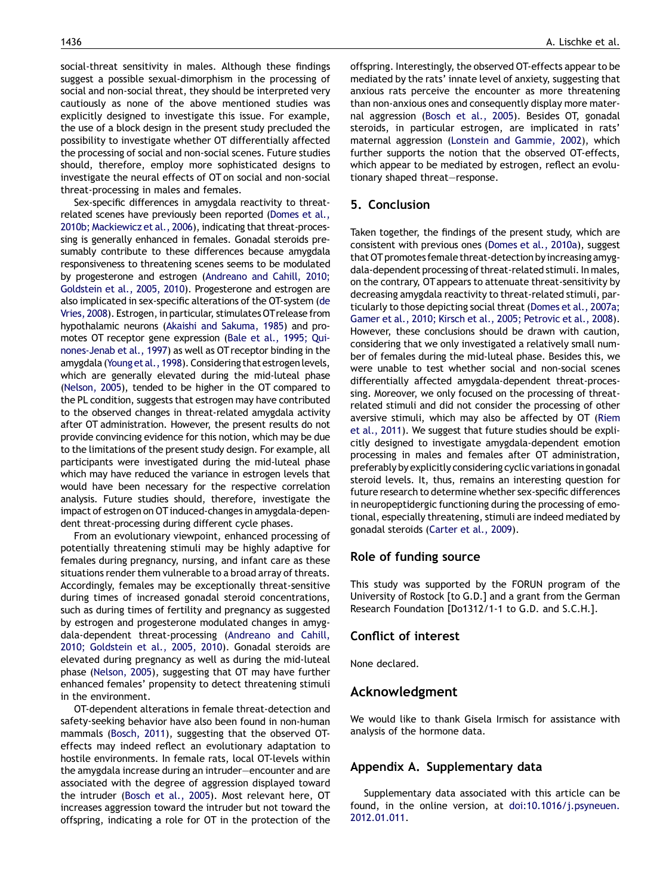social-threat sensitivity in males. Although these findings suggest a possible sexual-dimorphism in the processing of social and non-social threat, they should be interpreted very cautiously as none of the above mentioned studies was explicitly designed to investigate this issue. For example, the use of a block design in the present study precluded the possibility to investigate whether OT differentially affected the processing of social and non-social scenes. Future studies should, therefore, employ more sophisticated designs to investigate the neural effects of OT on social and non-social threat-processing in males and females.

Sex-specific differences in amygdala reactivity to threatrelated scenes have previously been reported ([Domes](#page-6-0) et al., 2010b; [Mackiewicz](#page-6-0) et al., 2006), indicating that threat-processing is generally enhanced in females. Gonadal steroids presumably contribute to these differences because amygdala responsiveness to threatening scenes seems to be modulated by progesterone and estrogen [\(Andreano](#page-6-0) and Cahill, 2010; [Goldstein](#page-6-0) et al., 2005, 2010). Progesterone and estrogen are also implicated in sex-specific alterations of the OT-system [\(de](#page-6-0) [Vries,](#page-6-0) 2008). Estrogen, in particular, stimulates OT release from hypothalamic neurons (Akaishi and [Sakuma,](#page-6-0) 1985) and promotes OT receptor gene expression (Bale et al., [1995;](#page-6-0) Qui[nones-Jenab](#page-6-0) et al., 1997) as well as OT receptor binding in the amygdala (Young et al., 1998). Considering that estrogen levels, which are generally elevated during the mid-luteal phase [\(Nelson,](#page-6-0) 2005), tended to be higher in the OT compared to the PL condition, suggests that estrogen may have contributed to the observed changes in threat-related amygdala activity after OT administration. However, the present results do not provide convincing evidence for this notion, which may be due to the limitations of the present study design. For example, all participants were investigated during the mid-luteal phase which may have reduced the variance in estrogen levels that would have been necessary for the respective correlation analysis. Future studies should, therefore, investigate the impact of estrogen on OT induced-changes in amygdala-dependent threat-processing during different cycle phases.

From an evolutionary viewpoint, enhanced processing of potentially threatening stimuli may be highly adaptive for females during pregnancy, nursing, and infant care as these situations render them vulnerable to a broad array of threats. Accordingly, females may be exceptionally threat-sensitive during times of increased gonadal steroid concentrations, such as during times of fertility and pregnancy as suggested by estrogen and progesterone modulated changes in amygdala-dependent threat-processing [\(Andreano](#page-6-0) and Cahill, 2010; [Goldstein](#page-6-0) et al., 2005, 2010). Gonadal steroids are elevated during pregnancy as well as during the mid-luteal phase [\(Nelson,](#page-6-0) 2005), suggesting that OT may have further enhanced females' propensity to detect threatening stimuli in the environment.

OT-dependent alterations in female threat-detection and safety-seeking behavior have also been found in non-human mammals [\(Bosch,](#page-6-0) 2011), suggesting that the observed OTeffects may indeed reflect an evolutionary adaptation to hostile environments. In female rats, local OT-levels within the amygdala increase during an intruder—encounter and are associated with the degree of aggression displayed toward the intruder ([Bosch](#page-6-0) et al., 2005). Most relevant here, OT increases aggression toward the intruder but not toward the offspring, indicating a role for OT in the protection of the offspring. Interestingly, the observed OT-effects appear to be mediated by the rats' innate level of anxiety, suggesting that anxious rats perceive the encounter as more threatening than non-anxious ones and consequently display more maternal aggression [\(Bosch](#page-6-0) et al., 2005). Besides OT, gonadal steroids, in particular estrogen, are implicated in rats' maternal aggression (Lonstein and [Gammie,](#page-6-0) 2002), which further supports the notion that the observed OT-effects, which appear to be mediated by estrogen, reflect an evolutionary shaped threat—response.

## 5. Conclusion

Taken together, the findings of the present study, which are consistent with previous ones ([Domes](#page-6-0) et al., 2010a), suggest that OT promotes female threat-detection by increasing amygdala-dependent processing of threat-related stimuli. In males, on the contrary, OT appears to attenuate threat-sensitivity by decreasing amygdala reactivity to threat-related stimuli, particularly to those depicting social threat (Domes et al., [2007a;](#page-6-0) Gamer et al., 2010; Kirsch et al., 2005; [Petrovic](#page-6-0) et al., 2008). However, these conclusions should be drawn with caution, considering that we only investigated a relatively small number of females during the mid-luteal phase. Besides this, we were unable to test whether social and non-social scenes differentially affected amygdala-dependent threat-processing. Moreover, we only focused on the processing of threatrelated stimuli and did not consider the processing of other aversive stimuli, which may also be affected by OT [\(Riem](#page-6-0) et al., [2011](#page-6-0)). We suggest that future studies should be explicitly designed to investigate amygdala-dependent emotion processing in males and females after OT administration, preferably by explicitly considering cyclic variations in gonadal steroid levels. It, thus, remains an interesting question for future research to determine whether sex-specific differences in neuropeptidergic functioning during the processing of emotional, especially threatening, stimuli are indeed mediated by gonadal steroids ([Carter](#page-6-0) et al., 2009).

## Role of funding source

This study was supported by the FORUN program of the University of Rostock [to G.D.] and a grant from the German Research Foundation [Do1312/1-1 to G.D. and S.C.H.].

# Conflict of interest

None declared.

# Acknowledgment

We would like to thank Gisela Irmisch for assistance with analysis of the hormone data.

# Appendix A. Supplementary data

Supplementary data associated with this article can be found, in the online version, at [doi:10.1016/j.psyneuen.](http://dx.doi.org/10.1016/j.psyneuen.2012.01.011) [2012.01.011](http://dx.doi.org/10.1016/j.psyneuen.2012.01.011).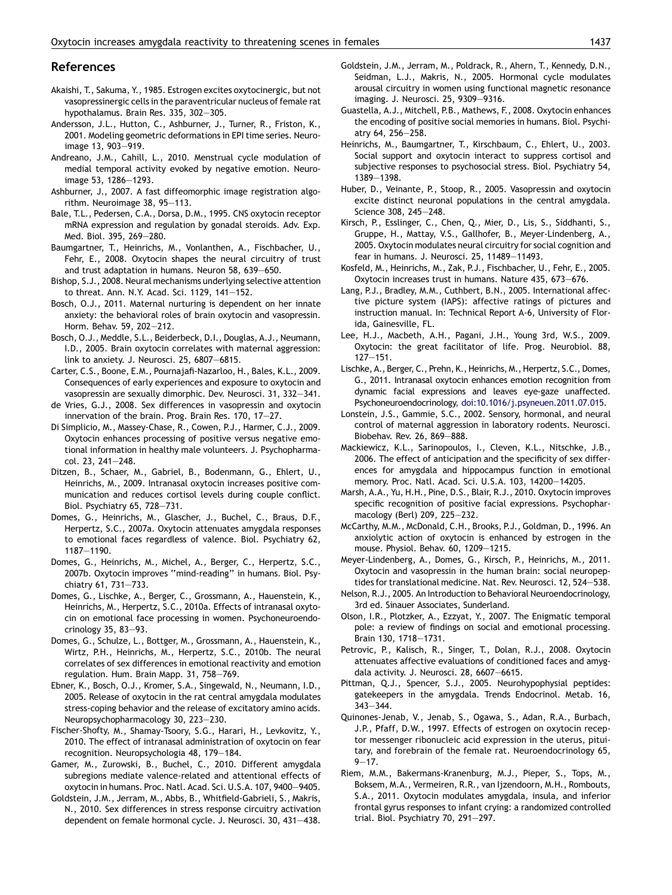#### <span id="page-6-0"></span>References

- Akaishi, T., Sakuma, Y., 1985. Estrogen excites oxytocinergic, but not vasopressinergic cells in the paraventricular nucleus of female rat hypothalamus. Brain Res. 335, 302—305.
- Andersson, J.L., Hutton, C., Ashburner, J., Turner, R., Friston, K., 2001. Modeling geometric deformations in EPI time series. Neuroimage 13, 903—919.
- Andreano, J.M., Cahill, L., 2010. Menstrual cycle modulation of medial temporal activity evoked by negative emotion. Neuroimage 53, 1286—1293.
- Ashburner, J., 2007. A fast diffeomorphic image registration algorithm. Neuroimage 38, 95—113.
- Bale, T.L., Pedersen, C.A., Dorsa, D.M., 1995. CNS oxytocin receptor mRNA expression and regulation by gonadal steroids. Adv. Exp. Med. Biol. 395, 269—280.
- Baumgartner, T., Heinrichs, M., Vonlanthen, A., Fischbacher, U., Fehr, E., 2008. Oxytocin shapes the neural circuitry of trust and trust adaptation in humans. Neuron 58, 639—650.
- Bishop, S.J., 2008. Neural mechanisms underlying selective attention to threat. Ann. N.Y. Acad. Sci. 1129, 141—152.
- Bosch, O.J., 2011. Maternal nurturing is dependent on her innate anxiety: the behavioral roles of brain oxytocin and vasopressin. Horm. Behav. 59, 202—212.
- Bosch, O.J., Meddle, S.L., Beiderbeck, D.I., Douglas, A.J., Neumann, I.D., 2005. Brain oxytocin correlates with maternal aggression: link to anxiety. J. Neurosci. 25, 6807—6815.
- Carter, C.S., Boone, E.M., Pournajafi-Nazarloo, H., Bales, K.L., 2009. Consequences of early experiences and exposure to oxytocin and vasopressin are sexually dimorphic. Dev. Neurosci. 31, 332—341.
- de Vries, G.J., 2008. Sex differences in vasopressin and oxytocin innervation of the brain. Prog. Brain Res. 170, 17—27.
- Di Simplicio, M., Massey-Chase, R., Cowen, P.J., Harmer, C.J., 2009. Oxytocin enhances processing of positive versus negative emotional information in healthy male volunteers. J. Psychopharmacol. 23, 241—248.
- Ditzen, B., Schaer, M., Gabriel, B., Bodenmann, G., Ehlert, U., Heinrichs, M., 2009. Intranasal oxytocin increases positive communication and reduces cortisol levels during couple conflict. Biol. Psychiatry 65, 728—731.
- Domes, G., Heinrichs, M., Glascher, J., Buchel, C., Braus, D.F., Herpertz, S.C., 2007a. Oxytocin attenuates amygdala responses to emotional faces regardless of valence. Biol. Psychiatry 62, 1187—1190.
- Domes, G., Heinrichs, M., Michel, A., Berger, C., Herpertz, S.C., 2007b. Oxytocin improves ''mind-reading'' in humans. Biol. Psychiatry 61, 731—733.
- Domes, G., Lischke, A., Berger, C., Grossmann, A., Hauenstein, K., Heinrichs, M., Herpertz, S.C., 2010a. Effects of intranasal oxytocin on emotional face processing in women. Psychoneuroendocrinology 35, 83—93.
- Domes, G., Schulze, L., Bottger, M., Grossmann, A., Hauenstein, K., Wirtz, P.H., Heinrichs, M., Herpertz, S.C., 2010b. The neural correlates of sex differences in emotional reactivity and emotion regulation. Hum. Brain Mapp. 31, 758—769.
- Ebner, K., Bosch, O.J., Kromer, S.A., Singewald, N., Neumann, I.D., 2005. Release of oxytocin in the rat central amygdala modulates stress-coping behavior and the release of excitatory amino acids. Neuropsychopharmacology 30, 223—230.
- Fischer-Shofty, M., Shamay-Tsoory, S.G., Harari, H., Levkovitz, Y., 2010. The effect of intranasal administration of oxytocin on fear recognition. Neuropsychologia 48, 179—184.
- Gamer, M., Zurowski, B., Buchel, C., 2010. Different amygdala subregions mediate valence-related and attentional effects of oxytocin in humans. Proc. Natl. Acad. Sci. U.S.A. 107, 9400—9405.
- Goldstein, J.M., Jerram, M., Abbs, B., Whitfield-Gabrieli, S., Makris, N., 2010. Sex differences in stress response circuitry activation dependent on female hormonal cycle. J. Neurosci. 30, 431—438.
- Goldstein, J.M., Jerram, M., Poldrack, R., Ahern, T., Kennedy, D.N., Seidman, L.J., Makris, N., 2005. Hormonal cycle modulates arousal circuitry in women using functional magnetic resonance imaging. J. Neurosci. 25, 9309—9316.
- Guastella, A.J., Mitchell, P.B., Mathews, F., 2008. Oxytocin enhances the encoding of positive social memories in humans. Biol. Psychiatry 64, 256—258.
- Heinrichs, M., Baumgartner, T., Kirschbaum, C., Ehlert, U., 2003. Social support and oxytocin interact to suppress cortisol and subjective responses to psychosocial stress. Biol. Psychiatry 54, 1389—1398.
- Huber, D., Veinante, P., Stoop, R., 2005. Vasopressin and oxytocin excite distinct neuronal populations in the central amygdala. Science 308, 245—248.
- Kirsch, P., Esslinger, C., Chen, Q., Mier, D., Lis, S., Siddhanti, S., Gruppe, H., Mattay, V.S., Gallhofer, B., Meyer-Lindenberg, A., 2005. Oxytocin modulates neural circuitry for social cognition and fear in humans. J. Neurosci. 25, 11489—11493.
- Kosfeld, M., Heinrichs, M., Zak, P.J., Fischbacher, U., Fehr, E., 2005. Oxytocin increases trust in humans. Nature 435, 673—676.
- Lang, P.J., Bradley, M.M., Cuthbert, B.N., 2005. International affective picture system (IAPS): affective ratings of pictures and instruction manual. In: Technical Report A-6, University of Florida, Gainesville, FL.
- Lee, H.J., Macbeth, A.H., Pagani, J.H., Young 3rd, W.S., 2009. Oxytocin: the great facilitator of life. Prog. Neurobiol. 88, 127—151.
- Lischke, A., Berger, C., Prehn, K., Heinrichs, M., Herpertz, S.C., Domes, G., 2011. Intranasal oxytocin enhances emotion recognition from dynamic facial expressions and leaves eye-gaze unaffected. Psychoneuroendocrinology, [doi:10.1016/j.psyneuen.2011.07.015](http://dx.doi.org/10.1016/j.psyneuen.2011.07.015).
- Lonstein, J.S., Gammie, S.C., 2002. Sensory, hormonal, and neural control of maternal aggression in laboratory rodents. Neurosci. Biobehav. Rev. 26, 869—888.
- Mackiewicz, K.L., Sarinopoulos, I., Cleven, K.L., Nitschke, J.B., 2006. The effect of anticipation and the specificity of sex differences for amygdala and hippocampus function in emotional memory. Proc. Natl. Acad. Sci. U.S.A. 103, 14200—14205.
- Marsh, A.A., Yu, H.H., Pine, D.S., Blair, R.J., 2010. Oxytocin improves specific recognition of positive facial expressions. Psychopharmacology (Berl) 209, 225—232.
- McCarthy, M.M., McDonald, C.H., Brooks, P.J., Goldman, D., 1996. An anxiolytic action of oxytocin is enhanced by estrogen in the mouse. Physiol. Behav. 60, 1209—1215.
- Meyer-Lindenberg, A., Domes, G., Kirsch, P., Heinrichs, M., 2011. Oxytocin and vasopressin in the human brain: social neuropeptides for translational medicine. Nat. Rev. Neurosci. 12, 524-538.
- Nelson, R.J., 2005. An Introduction to Behavioral Neuroendocrinology, 3rd ed. Sinauer Associates, Sunderland.
- Olson, I.R., Plotzker, A., Ezzyat, Y., 2007. The Enigmatic temporal pole: a review of findings on social and emotional processing. Brain 130, 1718—1731.
- Petrovic, P., Kalisch, R., Singer, T., Dolan, R.J., 2008. Oxytocin attenuates affective evaluations of conditioned faces and amygdala activity. J. Neurosci. 28, 6607—6615.
- Pittman, Q.J., Spencer, S.J., 2005. Neurohypophysial peptides: gatekeepers in the amygdala. Trends Endocrinol. Metab. 16, 343—344.
- Quinones-Jenab, V., Jenab, S., Ogawa, S., Adan, R.A., Burbach, J.P., Pfaff, D.W., 1997. Effects of estrogen on oxytocin receptor messenger ribonucleic acid expression in the uterus, pituitary, and forebrain of the female rat. Neuroendocrinology 65,  $9 - 17.$
- Riem, M.M., Bakermans-Kranenburg, M.J., Pieper, S., Tops, M., Boksem, M.A., Vermeiren, R.R., van Ijzendoorn, M.H., Rombouts, S.A., 2011. Oxytocin modulates amygdala, insula, and inferior frontal gyrus responses to infant crying: a randomized controlled trial. Biol. Psychiatry 70, 291—297.